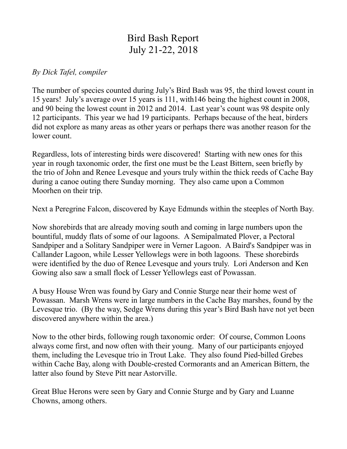## Bird Bash Report July 21-22, 2018

## *By Dick Tafel, compiler*

The number of species counted during July's Bird Bash was 95, the third lowest count in 15 years! July's average over 15 years is 111, with146 being the highest count in 2008, and 90 being the lowest count in 2012 and 2014. Last year's count was 98 despite only 12 participants. This year we had 19 participants. Perhaps because of the heat, birders did not explore as many areas as other years or perhaps there was another reason for the lower count.

Regardless, lots of interesting birds were discovered! Starting with new ones for this year in rough taxonomic order, the first one must be the Least Bittern, seen briefly by the trio of John and Renee Levesque and yours truly within the thick reeds of Cache Bay during a canoe outing there Sunday morning. They also came upon a Common Moorhen on their trip.

Next a Peregrine Falcon, discovered by Kaye Edmunds within the steeples of North Bay.

Now shorebirds that are already moving south and coming in large numbers upon the bountiful, muddy flats of some of our lagoons. A Semipalmated Plover, a Pectoral Sandpiper and a Solitary Sandpiper were in Verner Lagoon. A Baird's Sandpiper was in Callander Lagoon, while Lesser Yellowlegs were in both lagoons. These shorebirds were identified by the duo of Renee Levesque and yours truly. Lori Anderson and Ken Gowing also saw a small flock of Lesser Yellowlegs east of Powassan.

A busy House Wren was found by Gary and Connie Sturge near their home west of Powassan. Marsh Wrens were in large numbers in the Cache Bay marshes, found by the Levesque trio. (By the way, Sedge Wrens during this year's Bird Bash have not yet been discovered anywhere within the area.)

Now to the other birds, following rough taxonomic order: Of course, Common Loons always come first, and now often with their young. Many of our participants enjoyed them, including the Levesque trio in Trout Lake. They also found Pied-billed Grebes within Cache Bay, along with Double-crested Cormorants and an American Bittern, the latter also found by Steve Pitt near Astorville.

Great Blue Herons were seen by Gary and Connie Sturge and by Gary and Luanne Chowns, among others.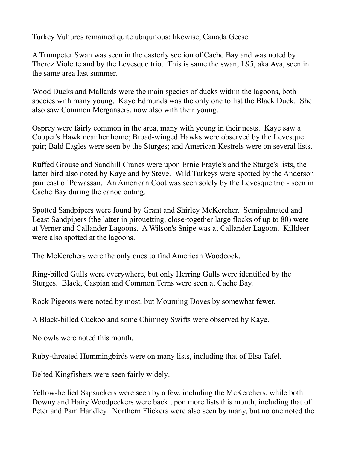Turkey Vultures remained quite ubiquitous; likewise, Canada Geese.

A Trumpeter Swan was seen in the easterly section of Cache Bay and was noted by Therez Violette and by the Levesque trio. This is same the swan, L95, aka Ava, seen in the same area last summer.

Wood Ducks and Mallards were the main species of ducks within the lagoons, both species with many young. Kaye Edmunds was the only one to list the Black Duck. She also saw Common Mergansers, now also with their young.

Osprey were fairly common in the area, many with young in their nests. Kaye saw a Cooper's Hawk near her home; Broad-winged Hawks were observed by the Levesque pair; Bald Eagles were seen by the Sturges; and American Kestrels were on several lists.

Ruffed Grouse and Sandhill Cranes were upon Ernie Frayle's and the Sturge's lists, the latter bird also noted by Kaye and by Steve. Wild Turkeys were spotted by the Anderson pair east of Powassan. An American Coot was seen solely by the Levesque trio - seen in Cache Bay during the canoe outing.

Spotted Sandpipers were found by Grant and Shirley McKercher. Semipalmated and Least Sandpipers (the latter in pirouetting, close-together large flocks of up to 80) were at Verner and Callander Lagoons. A Wilson's Snipe was at Callander Lagoon. Killdeer were also spotted at the lagoons.

The McKerchers were the only ones to find American Woodcock.

Ring-billed Gulls were everywhere, but only Herring Gulls were identified by the Sturges. Black, Caspian and Common Terns were seen at Cache Bay.

Rock Pigeons were noted by most, but Mourning Doves by somewhat fewer.

A Black-billed Cuckoo and some Chimney Swifts were observed by Kaye.

No owls were noted this month.

Ruby-throated Hummingbirds were on many lists, including that of Elsa Tafel.

Belted Kingfishers were seen fairly widely.

Yellow-bellied Sapsuckers were seen by a few, including the McKerchers, while both Downy and Hairy Woodpeckers were back upon more lists this month, including that of Peter and Pam Handley. Northern Flickers were also seen by many, but no one noted the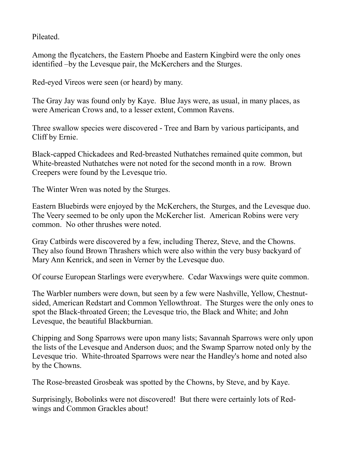Pileated.

Among the flycatchers, the Eastern Phoebe and Eastern Kingbird were the only ones identified –by the Levesque pair, the McKerchers and the Sturges.

Red-eyed Vireos were seen (or heard) by many.

The Gray Jay was found only by Kaye. Blue Jays were, as usual, in many places, as were American Crows and, to a lesser extent, Common Ravens.

Three swallow species were discovered - Tree and Barn by various participants, and Cliff by Ernie.

Black-capped Chickadees and Red-breasted Nuthatches remained quite common, but White-breasted Nuthatches were not noted for the second month in a row. Brown Creepers were found by the Levesque trio.

The Winter Wren was noted by the Sturges.

Eastern Bluebirds were enjoyed by the McKerchers, the Sturges, and the Levesque duo. The Veery seemed to be only upon the McKercher list. American Robins were very common. No other thrushes were noted.

Gray Catbirds were discovered by a few, including Therez, Steve, and the Chowns. They also found Brown Thrashers which were also within the very busy backyard of Mary Ann Kenrick, and seen in Verner by the Levesque duo.

Of course European Starlings were everywhere. Cedar Waxwings were quite common.

The Warbler numbers were down, but seen by a few were Nashville, Yellow, Chestnutsided, American Redstart and Common Yellowthroat. The Sturges were the only ones to spot the Black-throated Green; the Levesque trio, the Black and White; and John Levesque, the beautiful Blackburnian.

Chipping and Song Sparrows were upon many lists; Savannah Sparrows were only upon the lists of the Levesque and Anderson duos; and the Swamp Sparrow noted only by the Levesque trio. White-throated Sparrows were near the Handley's home and noted also by the Chowns.

The Rose-breasted Grosbeak was spotted by the Chowns, by Steve, and by Kaye.

Surprisingly, Bobolinks were not discovered! But there were certainly lots of Redwings and Common Grackles about!